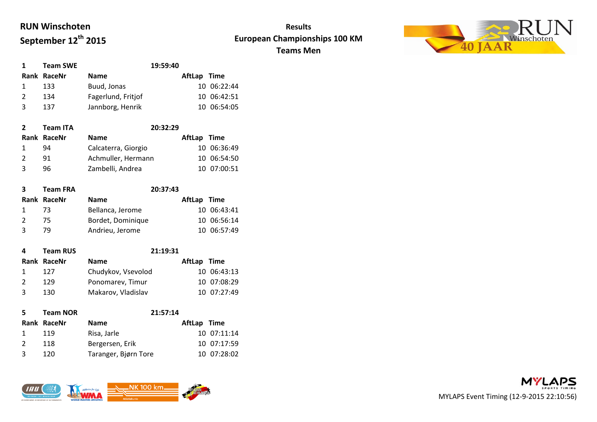# **RUN Winschoten September 12th 2015**

### **Results European Championships 100 KM Teams Men**



| $\mathbf{1}$  | <b>Team SWE</b> |                    | 19:59:40 |             |             |
|---------------|-----------------|--------------------|----------|-------------|-------------|
|               | Rank RaceNr     | <b>Name</b>        |          | AftLap Time |             |
|               | 133             | Buud, Jonas        |          |             | 10 06:22:44 |
| $\mathcal{L}$ | 134             | Fagerlund, Fritjof |          |             | 10 06:42:51 |
| ્ર            | 137             | Jannborg, Henrik   |          |             | 10 06:54:05 |

| $\mathbf{2}$   | <b>Team ITA</b> | 20:32:29            |             |  |
|----------------|-----------------|---------------------|-------------|--|
|                | Rank RaceNr     | <b>Name</b>         | AftLap Time |  |
|                | 94              | Calcaterra, Giorgio | 10 06:36:49 |  |
| $\overline{2}$ | 91              | Achmuller, Hermann  | 10 06:54:50 |  |
| $\mathbf{R}$   | 96              | Zambelli, Andrea    | 10 07:00:51 |  |

| 3              | <b>Team FRA</b> | 20:37:43          |             |  |
|----------------|-----------------|-------------------|-------------|--|
|                | Rank RaceNr     | <b>Name</b>       | AftLap Time |  |
| $\overline{1}$ | - 73            | Bellanca, Jerome  | 10 06:43:41 |  |
| $\overline{2}$ | 75.             | Bordet, Dominique | 10 06:56:14 |  |
| 3              | 79.             | Andrieu, Jerome   | 10 06:57:49 |  |

| 4             | <b>Team RUS</b> | 21:19:31           |             |             |
|---------------|-----------------|--------------------|-------------|-------------|
|               | Rank RaceNr     | <b>Name</b>        | AftLap Time |             |
|               | 127             | Chudykov, Vsevolod |             | 10 06:43:13 |
| $\mathcal{P}$ | 129             | Ponomarev, Timur   |             | 10 07:08:29 |
| 3             | 130             | Makarov, Vladislav |             | 10 07:27:49 |
|               |                 |                    |             |             |

| 5. | <b>Team NOR</b> |                      | 21:57:14 |             |             |
|----|-----------------|----------------------|----------|-------------|-------------|
|    | Rank RaceNr     | <b>Name</b>          |          | AftLap Time |             |
|    | 119             | Risa, Jarle          |          |             | 10 07:11:14 |
|    | 118             | Bergersen, Erik      |          |             | 10 07:17:59 |
| ર  | 120             | Taranger, Bjørn Tore |          |             | 10 07:28:02 |



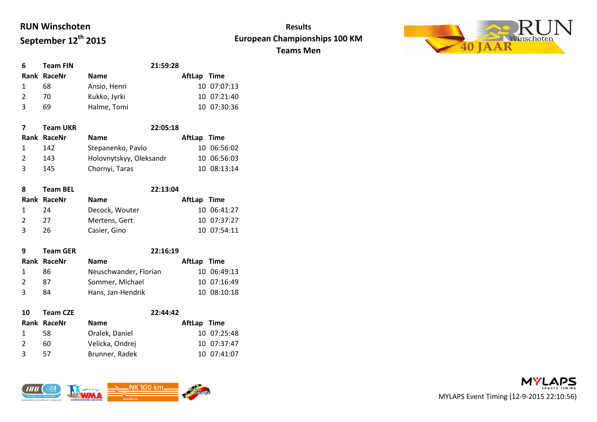# **RUN Winschoten September 12th 2015**

### **Results European Championships 100 KM Teams Men**



| 6             | <b>Team FIN</b> | 21:59:28     |             |
|---------------|-----------------|--------------|-------------|
|               | Rank RaceNr     | <b>Name</b>  | AftLap Time |
|               | 68              | Ansio, Henri | 10 07:07:13 |
| $\mathcal{P}$ | 70.             | Kukko, Jyrki | 10 07:21:40 |
|               | 69              | Halme, Tomi  | 10 07:30:36 |

|                | <b>Team UKR</b> | 22:05:18                |             |  |
|----------------|-----------------|-------------------------|-------------|--|
|                | Rank RaceNr     | <b>Name</b>             | AftLap Time |  |
|                | 142             | Stepanenko, Pavlo       | 10 06:56:02 |  |
| $\overline{2}$ | 143             | Holovnytskyy, Oleksandr | 10 06:56:03 |  |
| २              | 145             | Chornyi, Taras          | 10 08:13:14 |  |

| <b>Team BEL</b> |                | 22:13:04 |             |
|-----------------|----------------|----------|-------------|
| Rank RaceNr     | <b>Name</b>    |          |             |
| 24              | Decock, Wouter |          | 10 06:41:27 |
| 27              | Mertens, Gert  |          | 10 07:37:27 |
| 26              | Casier, Gino   |          | 10 07:54:11 |
|                 |                |          | AftLap Time |

| q            | <b>Team GER</b> | 22:16:19              |             |             |
|--------------|-----------------|-----------------------|-------------|-------------|
|              | Rank RaceNr     | <b>Name</b>           | AftLap Time |             |
| $\mathbf{1}$ | 86              | Neuschwander, Florian |             | 10 06:49:13 |
|              | 87              | Sommer, Michael       |             | 10 07:16:49 |
| -3           | 84              | Hans, Jan-Hendrik     |             | 10 08:10:18 |
|              |                 |                       |             |             |

| 10             | <b>Team CZE</b> |                 | 22:44:42    |
|----------------|-----------------|-----------------|-------------|
|                | Rank RaceNr     | <b>Name</b>     | AftLap Time |
|                | 58.             | Oralek, Daniel  | 10 07:25:48 |
| $\overline{2}$ | 60              | Velicka, Ondrej | 10 07:37:47 |
| 3              | 57              | Brunner, Radek  | 10 07:41:07 |